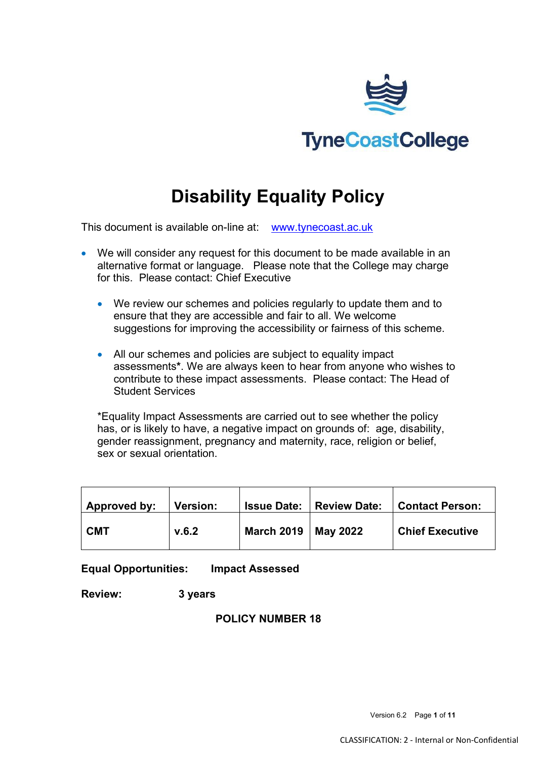

# **Disability Equality Policy**

This document is available on-line at: [www.tynecoast.ac.uk](http://www.tynecoast.ac.uk/)

- We will consider any request for this document to be made available in an alternative format or language. Please note that the College may charge for this. Please contact: Chief Executive
	- We review our schemes and policies regularly to update them and to ensure that they are accessible and fair to all. We welcome suggestions for improving the accessibility or fairness of this scheme.
	- All our schemes and policies are subject to equality impact assessments**\***. We are always keen to hear from anyone who wishes to contribute to these impact assessments. Please contact: The Head of Student Services

\*Equality Impact Assessments are carried out to see whether the policy has, or is likely to have, a negative impact on grounds of: age, disability, gender reassignment, pregnancy and maternity, race, religion or belief, sex or sexual orientation.

| Approved by: | <b>Version:</b> |                       | <b>Issue Date:   Review Date:</b> | Contact Person:        |
|--------------|-----------------|-----------------------|-----------------------------------|------------------------|
| <b>CMT</b>   | V.6.2           | March 2019   May 2022 |                                   | <b>Chief Executive</b> |

**Equal Opportunities: Impact Assessed** 

**Review: 3 years** 

**POLICY NUMBER 18**

Version 6.2 Page **1** of **11**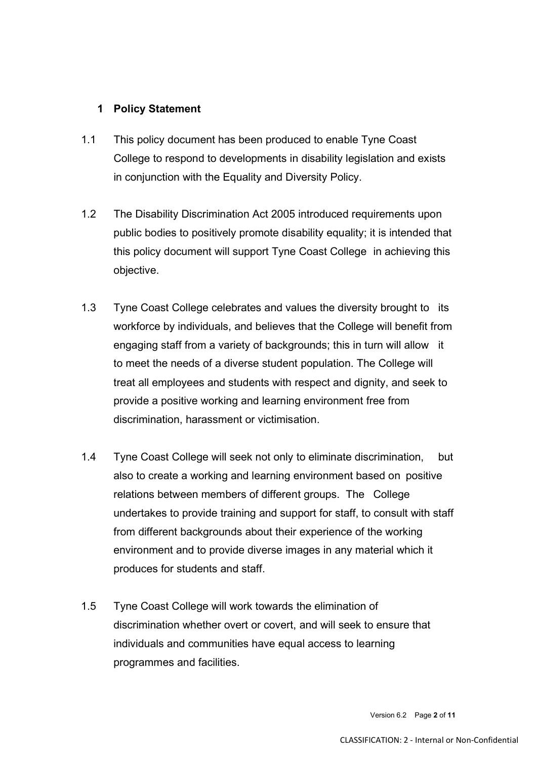# **1 Policy Statement**

- 1.1 This policy document has been produced to enable Tyne Coast College to respond to developments in disability legislation and exists in conjunction with the Equality and Diversity Policy.
- 1.2 The Disability Discrimination Act 2005 introduced requirements upon public bodies to positively promote disability equality; it is intended that this policy document will support Tyne Coast College in achieving this objective.
- 1.3 Tyne Coast College celebrates and values the diversity brought to its workforce by individuals, and believes that the College will benefit from engaging staff from a variety of backgrounds; this in turn will allow it to meet the needs of a diverse student population. The College will treat all employees and students with respect and dignity, and seek to provide a positive working and learning environment free from discrimination, harassment or victimisation.
- 1.4 Tyne Coast College will seek not only to eliminate discrimination, but also to create a working and learning environment based on positive relations between members of different groups. The College undertakes to provide training and support for staff, to consult with staff from different backgrounds about their experience of the working environment and to provide diverse images in any material which it produces for students and staff.
- 1.5 Tyne Coast College will work towards the elimination of discrimination whether overt or covert, and will seek to ensure that individuals and communities have equal access to learning programmes and facilities.

Version 6.2 Page **2** of **11**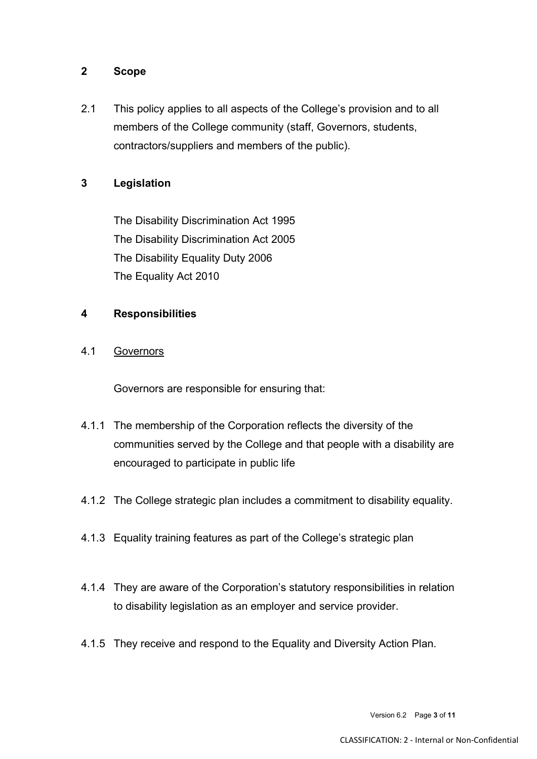## **2 Scope**

2.1 This policy applies to all aspects of the College's provision and to all members of the College community (staff, Governors, students, contractors/suppliers and members of the public).

# **3 Legislation**

The Disability Discrimination Act 1995 The Disability Discrimination Act 2005 The Disability Equality Duty 2006 The Equality Act 2010

## **4 Responsibilities**

## 4.1 Governors

Governors are responsible for ensuring that:

- 4.1.1 The membership of the Corporation reflects the diversity of the communities served by the College and that people with a disability are encouraged to participate in public life
- 4.1.2 The College strategic plan includes a commitment to disability equality.
- 4.1.3 Equality training features as part of the College's strategic plan
- 4.1.4 They are aware of the Corporation's statutory responsibilities in relation to disability legislation as an employer and service provider.
- 4.1.5 They receive and respond to the Equality and Diversity Action Plan.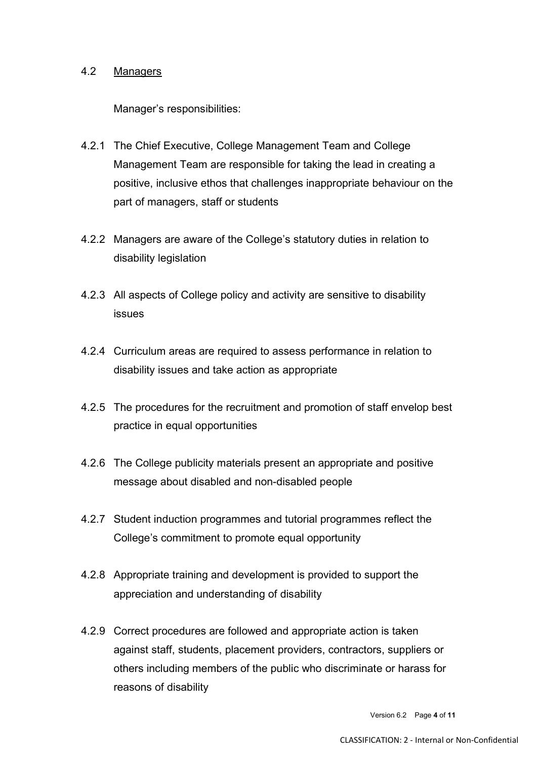#### 4.2 Managers

Manager's responsibilities:

- 4.2.1 The Chief Executive, College Management Team and College Management Team are responsible for taking the lead in creating a positive, inclusive ethos that challenges inappropriate behaviour on the part of managers, staff or students
- 4.2.2 Managers are aware of the College's statutory duties in relation to disability legislation
- 4.2.3 All aspects of College policy and activity are sensitive to disability issues
- 4.2.4 Curriculum areas are required to assess performance in relation to disability issues and take action as appropriate
- 4.2.5 The procedures for the recruitment and promotion of staff envelop best practice in equal opportunities
- 4.2.6 The College publicity materials present an appropriate and positive message about disabled and non-disabled people
- 4.2.7 Student induction programmes and tutorial programmes reflect the College's commitment to promote equal opportunity
- 4.2.8 Appropriate training and development is provided to support the appreciation and understanding of disability
- 4.2.9 Correct procedures are followed and appropriate action is taken against staff, students, placement providers, contractors, suppliers or others including members of the public who discriminate or harass for reasons of disability

Version 6.2 Page **4** of **11**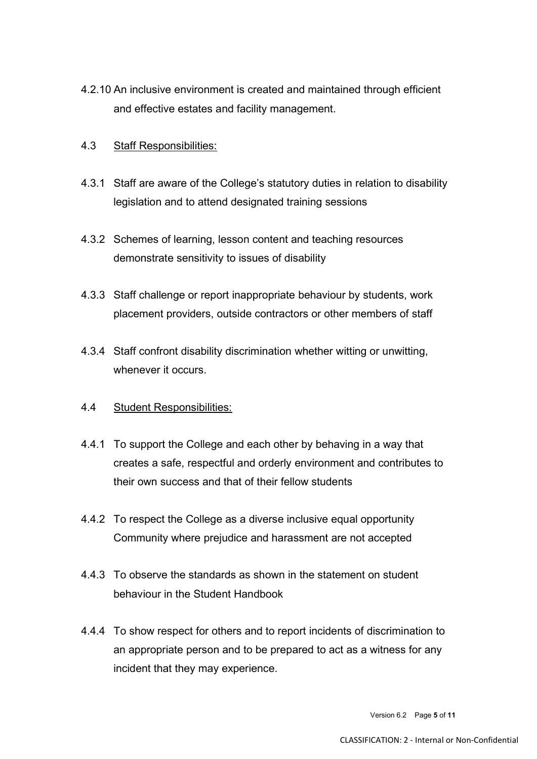- 4.2.10 An inclusive environment is created and maintained through efficient and effective estates and facility management.
- 4.3 Staff Responsibilities:
- 4.3.1 Staff are aware of the College's statutory duties in relation to disability legislation and to attend designated training sessions
- 4.3.2 Schemes of learning, lesson content and teaching resources demonstrate sensitivity to issues of disability
- 4.3.3 Staff challenge or report inappropriate behaviour by students, work placement providers, outside contractors or other members of staff
- 4.3.4 Staff confront disability discrimination whether witting or unwitting, whenever it occurs.
- 4.4 Student Responsibilities:
- 4.4.1 To support the College and each other by behaving in a way that creates a safe, respectful and orderly environment and contributes to their own success and that of their fellow students
- 4.4.2 To respect the College as a diverse inclusive equal opportunity Community where prejudice and harassment are not accepted
- 4.4.3 To observe the standards as shown in the statement on student behaviour in the Student Handbook
- 4.4.4 To show respect for others and to report incidents of discrimination to an appropriate person and to be prepared to act as a witness for any incident that they may experience.

Version 6.2 Page **5** of **11**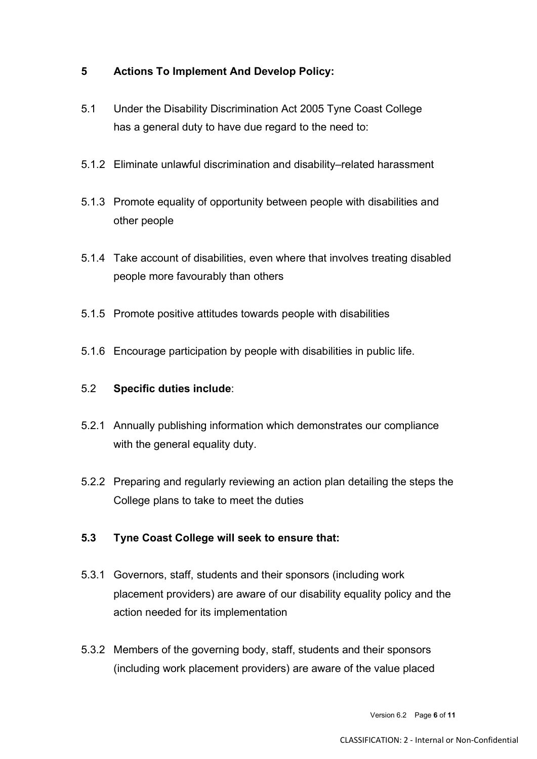# **5 Actions To Implement And Develop Policy:**

- 5.1 Under the Disability Discrimination Act 2005 Tyne Coast College has a general duty to have due regard to the need to:
- 5.1.2 Eliminate unlawful discrimination and disability–related harassment
- 5.1.3 Promote equality of opportunity between people with disabilities and other people
- 5.1.4 Take account of disabilities, even where that involves treating disabled people more favourably than others
- 5.1.5 Promote positive attitudes towards people with disabilities
- 5.1.6 Encourage participation by people with disabilities in public life.

#### 5.2 **Specific duties include**:

- 5.2.1 Annually publishing information which demonstrates our compliance with the general equality duty.
- 5.2.2 Preparing and regularly reviewing an action plan detailing the steps the College plans to take to meet the duties

# **5.3 Tyne Coast College will seek to ensure that:**

- 5.3.1 Governors, staff, students and their sponsors (including work placement providers) are aware of our disability equality policy and the action needed for its implementation
- 5.3.2 Members of the governing body, staff, students and their sponsors (including work placement providers) are aware of the value placed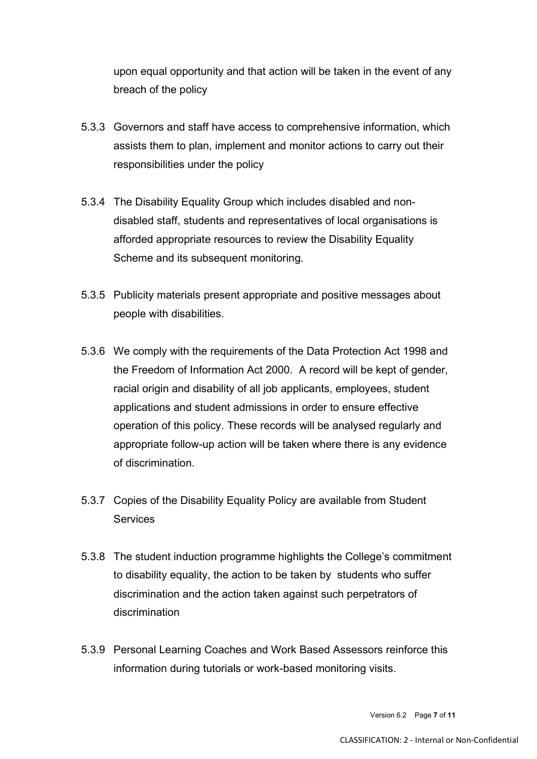upon equal opportunity and that action will be taken in the event of any breach of the policy

- 5.3.3 Governors and staff have access to comprehensive information, which assists them to plan, implement and monitor actions to carry out their responsibilities under the policy
- 5.3.4 The Disability Equality Group which includes disabled and nondisabled staff, students and representatives of local organisations is afforded appropriate resources to review the Disability Equality Scheme and its subsequent monitoring.
- 5.3.5 Publicity materials present appropriate and positive messages about people with disabilities.
- 5.3.6 We comply with the requirements of the Data Protection Act 1998 and the Freedom of Information Act 2000. A record will be kept of gender, racial origin and disability of all job applicants, employees, student applications and student admissions in order to ensure effective operation of this policy. These records will be analysed regularly and appropriate follow-up action will be taken where there is any evidence of discrimination.
- 5.3.7 Copies of the Disability Equality Policy are available from Student **Services**
- 5.3.8 The student induction programme highlights the College's commitment to disability equality, the action to be taken by students who suffer discrimination and the action taken against such perpetrators of discrimination
- 5.3.9 Personal Learning Coaches and Work Based Assessors reinforce this information during tutorials or work-based monitoring visits.

Version 6.2 Page **7** of **11**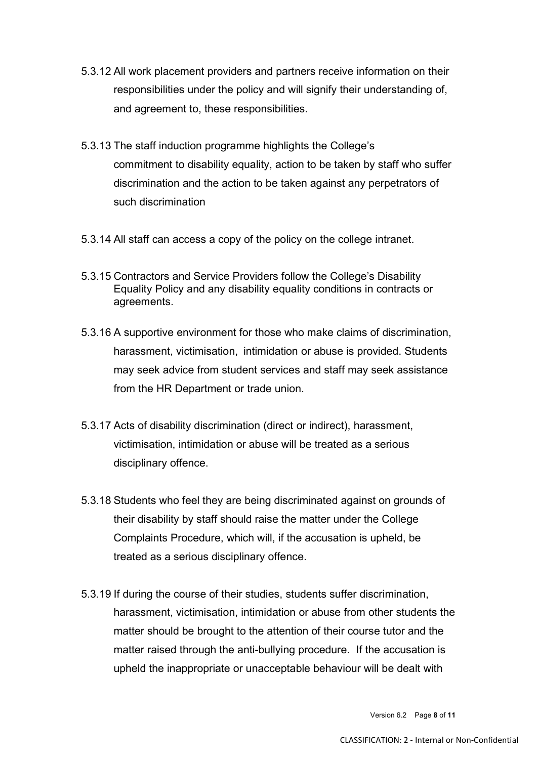- 5.3.12 All work placement providers and partners receive information on their responsibilities under the policy and will signify their understanding of, and agreement to, these responsibilities.
- 5.3.13 The staff induction programme highlights the College's commitment to disability equality, action to be taken by staff who suffer discrimination and the action to be taken against any perpetrators of such discrimination
- 5.3.14 All staff can access a copy of the policy on the college intranet.
- 5.3.15 Contractors and Service Providers follow the College's Disability Equality Policy and any disability equality conditions in contracts or agreements.
- 5.3.16 A supportive environment for those who make claims of discrimination, harassment, victimisation, intimidation or abuse is provided. Students may seek advice from student services and staff may seek assistance from the HR Department or trade union.
- 5.3.17 Acts of disability discrimination (direct or indirect), harassment, victimisation, intimidation or abuse will be treated as a serious disciplinary offence.
- 5.3.18 Students who feel they are being discriminated against on grounds of their disability by staff should raise the matter under the College Complaints Procedure, which will, if the accusation is upheld, be treated as a serious disciplinary offence.
- 5.3.19 If during the course of their studies, students suffer discrimination, harassment, victimisation, intimidation or abuse from other students the matter should be brought to the attention of their course tutor and the matter raised through the anti-bullying procedure. If the accusation is upheld the inappropriate or unacceptable behaviour will be dealt with

Version 6.2 Page **8** of **11**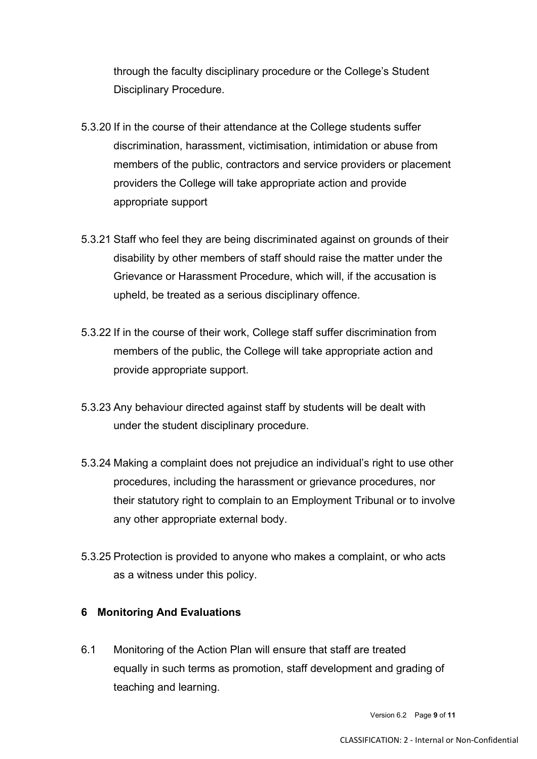through the faculty disciplinary procedure or the College's Student Disciplinary Procedure.

- 5.3.20 If in the course of their attendance at the College students suffer discrimination, harassment, victimisation, intimidation or abuse from members of the public, contractors and service providers or placement providers the College will take appropriate action and provide appropriate support
- 5.3.21 Staff who feel they are being discriminated against on grounds of their disability by other members of staff should raise the matter under the Grievance or Harassment Procedure, which will, if the accusation is upheld, be treated as a serious disciplinary offence.
- 5.3.22 If in the course of their work, College staff suffer discrimination from members of the public, the College will take appropriate action and provide appropriate support.
- 5.3.23 Any behaviour directed against staff by students will be dealt with under the student disciplinary procedure.
- 5.3.24 Making a complaint does not prejudice an individual's right to use other procedures, including the harassment or grievance procedures, nor their statutory right to complain to an Employment Tribunal or to involve any other appropriate external body.
- 5.3.25 Protection is provided to anyone who makes a complaint, or who acts as a witness under this policy.

# **6 Monitoring And Evaluations**

6.1 Monitoring of the Action Plan will ensure that staff are treated equally in such terms as promotion, staff development and grading of teaching and learning.

Version 6.2 Page **9** of **11**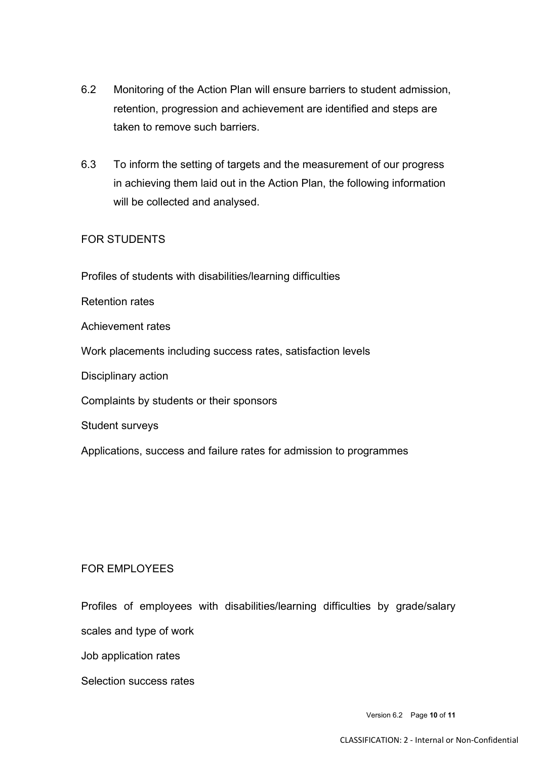- 6.2 Monitoring of the Action Plan will ensure barriers to student admission, retention, progression and achievement are identified and steps are taken to remove such barriers.
- 6.3 To inform the setting of targets and the measurement of our progress in achieving them laid out in the Action Plan, the following information will be collected and analysed.

## FOR STUDENTS

Profiles of students with disabilities/learning difficulties

Retention rates

Achievement rates

Work placements including success rates, satisfaction levels

Disciplinary action

Complaints by students or their sponsors

Student surveys

Applications, success and failure rates for admission to programmes

## FOR EMPLOYEES

Profiles of employees with disabilities/learning difficulties by grade/salary

scales and type of work

Job application rates

Selection success rates

Version 6.2 Page **10** of **11**